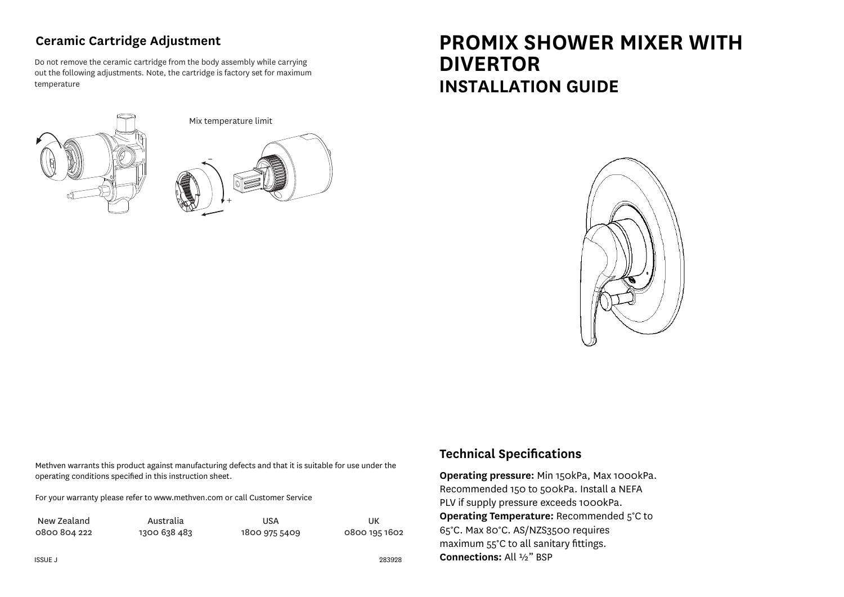### **Ceramic Cartridge Adjustment**

Do not remove the ceramic cartridge from the body assembly while carrying out the following adjustments. Note, the cartridge is factory set for maximum temperature



Mix temperature limit



# **PROMIX SHOWER MIXER WITH DIVERTOR INSTALLATION GUIDE**



Methven warrants this product against manufacturing defects and that it is suitable for use under the operating conditions specified in this instruction sheet.

For your warranty please refer to www.methven.com or call Customer Service

| New Zealand  | Australia    | USA           | UK            |
|--------------|--------------|---------------|---------------|
| 0800 804 222 | 1300 638 483 | 1800 975 5409 | 0800 195 1602 |

#### **Technical Specifications**

**Operating pressure:** Min 150kPa, Max 1000kPa. Recommended 150 to 500kPa. Install a NEFA PLV if supply pressure exceeds 1000kPa. **Operating Temperature:** Recommended 5°C to 65°C. Max 80°C. AS/NZS3500 requires maximum 55°C to all sanitary fittings. **Connections:** All ½" BSP

283928